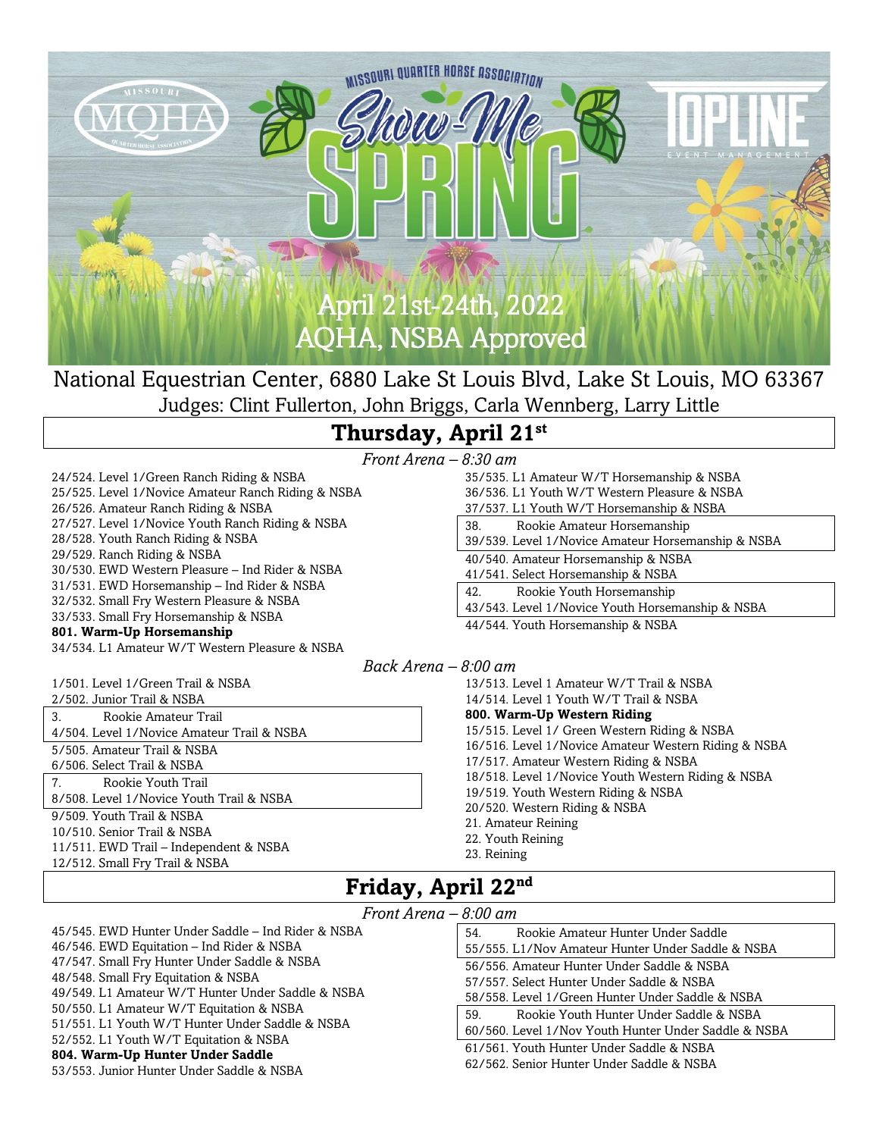

National Equestrian Center, 6880 Lake St Louis Blvd, Lake St Louis, MO 63367 Judges: Clint Fullerton, John Briggs, Carla Wennberg, Larry Little

## **Thursday, April 21 st**

*Front Arena –* 

24/524. Level 1/Green Ranch Riding & NSBA 25/525. Level 1/Novice Amateur Ranch Riding & NSBA 26/526. Amateur Ranch Riding & NSBA 27/527. Level 1/Novice Youth Ranch Riding & NSBA 28/528. Youth Ranch Riding & NSBA 29/529. Ranch Riding & NSBA 30/530. EWD Western Pleasure – Ind Rider & NSBA 31/531. EWD Horsemanship – Ind Rider & NSBA 32/532. Small Fry Western Pleasure & NSBA 33/533. Small Fry Horsemanship & NSBA **801. Warm-Up Horsemanship** 34/534. L1 Amateur W/T Western Pleasure & NSBA

1/501. Level 1/Green Trail & NSBA

2/502. Junior Trail & NSBA

3. Rookie Amateur Trail 4/504. Level 1/Novice Amateur Trail & NSBA

5/505. Amateur Trail & NSBA

6/506. Select Trail & NSBA

7. Rookie Youth Trail 8/508. Level 1/Novice Youth Trail & NSBA

9/509. Youth Trail & NSBA

10/510. Senior Trail & NSBA

11/511. EWD Trail – Independent & NSBA 12/512. Small Fry Trail & NSBA

| 8:30 am                                            |
|----------------------------------------------------|
| 35/535. L1 Amateur W/T Horsemanship & NSBA         |
| 36/536. L1 Youth W/T Western Pleasure & NSBA       |
| 37/537. L1 Youth W/T Horsemanship & NSBA           |
| Rookie Amateur Horsemanship<br>38.                 |
| 39/539. Level 1/Novice Amateur Horsemanship & NSBA |
| 40/540. Amateur Horsemanship & NSBA                |
| 41/541. Select Horsemanship & NSBA                 |
| Rookie Youth Horsemanship<br>42.                   |
| 43/543. Level 1/Novice Youth Horsemanship & NSBA   |
| 44/544. Youth Horsemanship & NSBA                  |

#### *Back Arena – 8:00 am*

13/513. Level 1 Amateur W/T Trail & NSBA 14/514. Level 1 Youth W/T Trail & NSBA **800. Warm-Up Western Riding** 15/515. Level 1/ Green Western Riding & NSBA 16/516. Level 1/Novice Amateur Western Riding & NSBA 17/517. Amateur Western Riding & NSBA 18/518. Level 1/Novice Youth Western Riding & NSBA 19/519. Youth Western Riding & NSBA 20/520. Western Riding & NSBA 21. Amateur Reining 22. Youth Reining 23. Reining

### **Friday, April 22nd**

#### *Front Arena – 8:00 am*

| 45/545. EWD Hunter Under Saddle – Ind Rider & NSBA |
|----------------------------------------------------|
| 46/546. EWD Equitation – Ind Rider & NSBA          |
| 47/547. Small Fry Hunter Under Saddle & NSBA       |
| 48/548. Small Fry Equitation & NSBA                |
| 49/549. L1 Amateur W/T Hunter Under Saddle & NSBA  |
| 50/550. L1 Amateur W/T Equitation & NSBA           |
| 51/551. L1 Youth W/T Hunter Under Saddle & NSBA    |
| 52/552. L1 Youth W/T Equitation & NSBA             |
| 804. Warm-Up Hunter Under Saddle                   |
| 53/553. Junior Hunter Under Saddle & NSBA          |

| und                                                  |
|------------------------------------------------------|
| 54.<br>Rookie Amateur Hunter Under Saddle            |
| 55/555. L1/Nov Amateur Hunter Under Saddle & NSBA    |
| 56/556. Amateur Hunter Under Saddle & NSBA           |
| 57/557. Select Hunter Under Saddle & NSBA            |
| 58/558. Level 1/Green Hunter Under Saddle & NSBA     |
| 59.<br>Rookie Youth Hunter Under Saddle & NSBA       |
| 60/560. Level 1/Nov Youth Hunter Under Saddle & NSBA |
| 61/561. Youth Hunter Under Saddle & NSBA             |
| 62/562. Senior Hunter Under Saddle & NSBA            |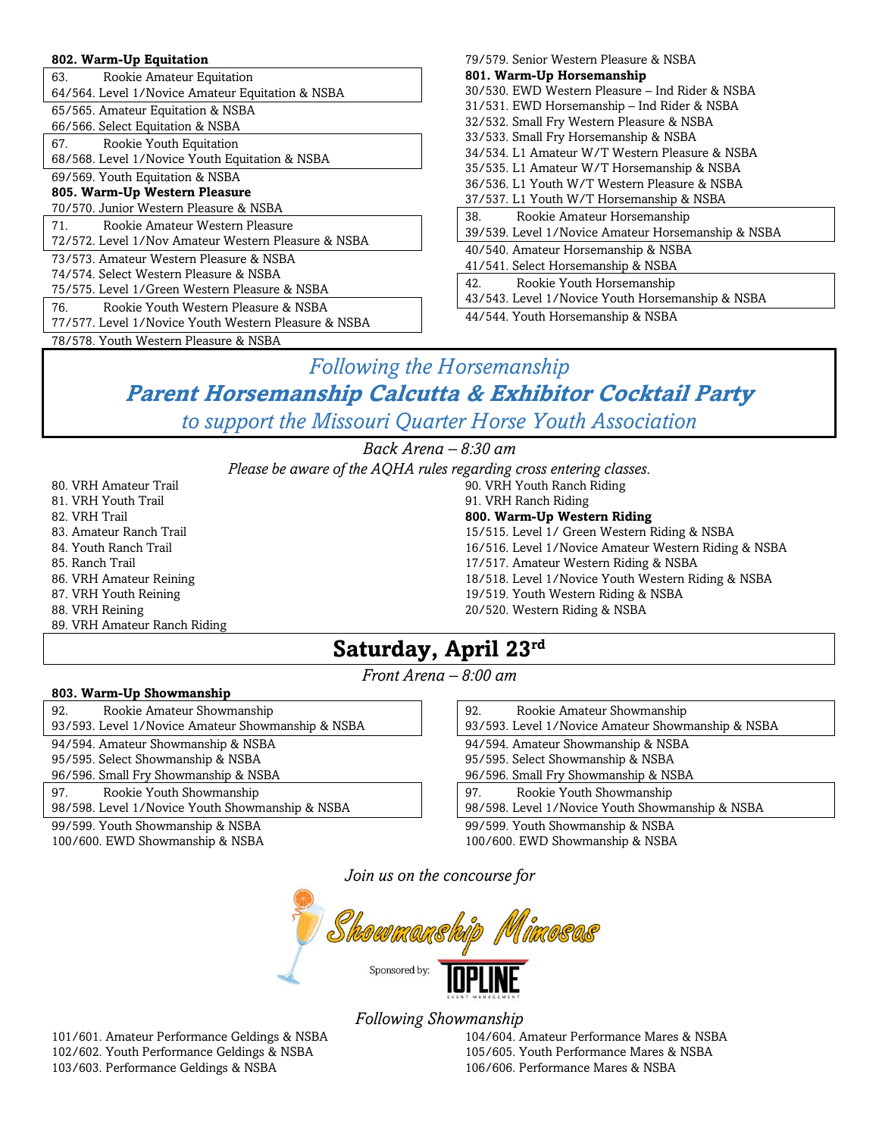#### **802. Warm-Up Equitation**

| 63.<br>Rookie Amateur Equitation                     |
|------------------------------------------------------|
| 64/564. Level 1/Novice Amateur Equitation & NSBA     |
| 65/565. Amateur Equitation & NSBA                    |
| 66/566. Select Equitation & NSBA                     |
| Rookie Youth Equitation<br>67.                       |
| 68/568. Level 1/Novice Youth Equitation & NSBA       |
| 69/569. Youth Equitation & NSBA                      |
| 805. Warm-Up Western Pleasure                        |
| 70/570. Junior Western Pleasure & NSBA               |
| Rookie Amateur Western Pleasure<br>71.               |
| 72/572. Level 1/Nov Amateur Western Pleasure & NSBA  |
| 73/573. Amateur Western Pleasure & NSBA              |
| 74/574, Select Western Pleasure & NSBA               |
| 75/575. Level 1/Green Western Pleasure & NSBA        |
| Rookie Youth Western Pleasure & NSBA<br>76.          |
| 77/577, Level 1/Novice Youth Western Pleasure & NSBA |
| 78/578. Youth Western Pleasure & NSBA                |

| 79/579. Senior Western Pleasure & NSBA             |
|----------------------------------------------------|
| 801. Warm-Up Horsemanship                          |
| 30/530. EWD Western Pleasure – Ind Rider & NSBA    |
| 31/531. EWD Horsemanship – Ind Rider & NSBA        |
| 32/532. Small Fry Western Pleasure & NSBA          |
| 33/533. Small Fry Horsemanship & NSBA              |
| 34/534. L1 Amateur W/T Western Pleasure & NSBA     |
| 35/535. L1 Amateur W/T Horsemanship & NSBA         |
| 36/536, L1 Youth W/T Western Pleasure & NSBA       |
| 37/537. L1 Youth W/T Horsemanship & NSBA           |
| Rookie Amateur Horsemanship<br>38.                 |
| 39/539. Level 1/Novice Amateur Horsemanship & NSBA |
| 40/540. Amateur Horsemanship & NSBA                |
| 41/541. Select Horsemanship & NSBA                 |
| 42.<br>Rookie Youth Horsemanship                   |
| 43/543. Level 1/Novice Youth Horsemanship & NSBA   |

44/544. Youth Horsemanship & NSBA

### *Following the Horsemanship* **Parent Horsemanship Calcutta & Exhibitor Cocktail Party** *to support the Missouri Quarter Horse Youth Association*

*Back Arena – 8:30 am Please be aware of the AQHA rules regarding cross entering classes.* 90. VRH Youth Ranch Riding 91. VRH Ranch Riding

80. VRH Amateur Trail 81. VRH Youth Trail 82. VRH Trail 83. Amateur Ranch Trail 84. Youth Ranch Trail 85. Ranch Trail 86. VRH Amateur Reining 87. VRH Youth Reining 88. VRH Reining 89. VRH Amateur Ranch Riding **800. Warm-Up Western Riding** 15/515. Level 1/ Green Western Riding & NSBA 16/516. Level 1/Novice Amateur Western Riding & NSBA 17/517. Amateur Western Riding & NSBA 18/518. Level 1/Novice Youth Western Riding & NSBA 19/519. Youth Western Riding & NSBA 20/520. Western Riding & NSBA

### **Saturday, April 23rd**

*Front Arena – 8:00 am*

#### **803. Warm-Up Showmanship**

| Rookie Amateur Showmanship<br>92.                 |
|---------------------------------------------------|
| 93/593. Level 1/Novice Amateur Showmanship & NSBA |
| 94/594. Amateur Showmanship & NSBA                |
| 95/595. Select Showmanship & NSBA                 |
| 96/596. Small Fry Showmanship & NSBA              |
| Rookie Youth Showmanship<br>97.                   |
| 98/598. Level 1/Novice Youth Showmanship & NSBA   |
| 99/599. Youth Showmanship & NSBA                  |

100/600. EWD Showmanship & NSBA

| 92.<br>Rookie Amateur Showmanship<br>93/593. Level 1/Novice Amateur Showmanship & NSBA |  |
|----------------------------------------------------------------------------------------|--|
| 94/594. Amateur Showmanship & NSBA                                                     |  |
| 95/595. Select Showmanship & NSBA                                                      |  |
| 96/596. Small Fry Showmanship & NSBA                                                   |  |
| Rookie Youth Showmanship<br>97.                                                        |  |
| 98/598. Level 1/Novice Youth Showmanship & NSBA                                        |  |
| 99/599. Youth Showmanship & NSBA                                                       |  |
| 100/600. EWD Showmanship & NSBA                                                        |  |

*Join us on the concourse for*



*Following Showmanship*

101/601. Amateur Performance Geldings & NSBA 102/602. Youth Performance Geldings & NSBA 103/603. Performance Geldings & NSBA

104/604. Amateur Performance Mares & NSBA 105/605. Youth Performance Mares & NSBA 106/606. Performance Mares & NSBA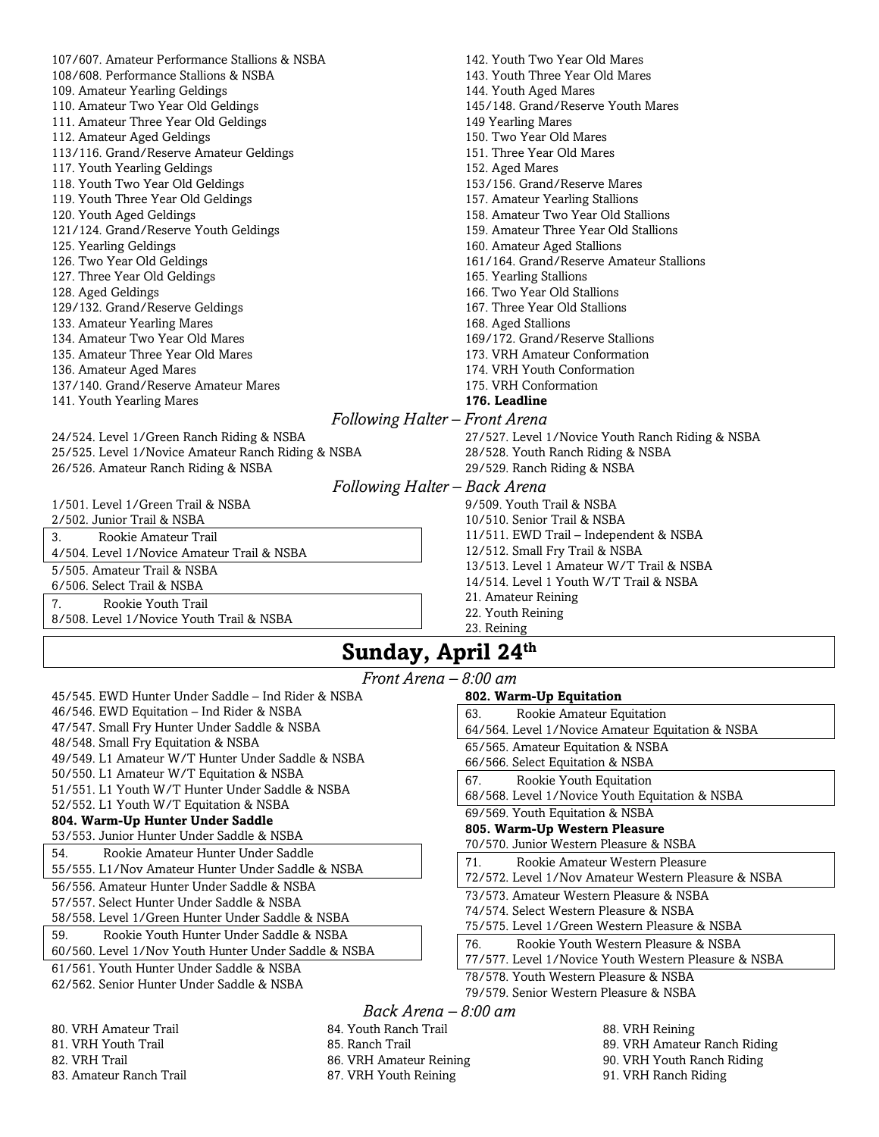| 107/607. Amateur Performance Stallions & NSBA      | 142. Youth Two Year Old Mares                    |
|----------------------------------------------------|--------------------------------------------------|
| 108/608. Performance Stallions & NSBA              | 143. Youth Three Year Old Mares                  |
| 109. Amateur Yearling Geldings                     | 144. Youth Aged Mares                            |
| 110. Amateur Two Year Old Geldings                 | 145/148. Grand/Reserve Youth Mares               |
| 111. Amateur Three Year Old Geldings               | 149 Yearling Mares                               |
| 112. Amateur Aged Geldings                         | 150. Two Year Old Mares                          |
| 113/116. Grand/Reserve Amateur Geldings            | 151. Three Year Old Mares                        |
| 117. Youth Yearling Geldings                       | 152. Aged Mares                                  |
| 118. Youth Two Year Old Geldings                   | 153/156. Grand/Reserve Mares                     |
| 119. Youth Three Year Old Geldings                 | 157. Amateur Yearling Stallions                  |
| 120. Youth Aged Geldings                           | 158. Amateur Two Year Old Stallions              |
| 121/124. Grand/Reserve Youth Geldings              | 159. Amateur Three Year Old Stallions            |
| 125. Yearling Geldings                             | 160. Amateur Aged Stallions                      |
| 126. Two Year Old Geldings                         | 161/164. Grand/Reserve Amateur Stallions         |
| 127. Three Year Old Geldings                       | 165. Yearling Stallions                          |
| 128. Aged Geldings                                 | 166. Two Year Old Stallions                      |
| 129/132. Grand/Reserve Geldings                    | 167. Three Year Old Stallions                    |
| 133. Amateur Yearling Mares                        | 168. Aged Stallions                              |
| 134. Amateur Two Year Old Mares                    | 169/172. Grand/Reserve Stallions                 |
| 135. Amateur Three Year Old Mares                  | 173. VRH Amateur Conformation                    |
| 136. Amateur Aged Mares                            | 174. VRH Youth Conformation                      |
| 137/140. Grand/Reserve Amateur Mares               | 175. VRH Conformation                            |
| 141. Youth Yearling Mares                          | 176. Leadline                                    |
|                                                    | Following Halter – Front Arena                   |
| 24/524. Level 1/Green Ranch Riding & NSBA          | 27/527. Level 1/Novice Youth Ranch Riding & NSBA |
| 25/525. Level 1/Novice Amateur Ranch Riding & NSBA | 28/528. Youth Ranch Riding & NSBA                |
| 26/526. Amateur Ranch Riding & NSBA                | 29/529. Ranch Riding & NSBA                      |
|                                                    | Following Halter – Back Arena                    |
| 1/501. Level 1/Green Trail & NSBA                  | 9/509. Youth Trail & NSBA                        |
| 2/502. Junior Trail & NSBA                         | 10/510. Senior Trail & NSBA                      |
| 3.<br>Rookie Amateur Trail                         | 11/511. EWD Trail – Independent & NSBA           |
|                                                    | $\mathbf{u}$ = $\mathbf{u}$ = $\mathbf{u}$       |

4/504. Level 1/Novice Amateur Trail & NSBA 5/505. Amateur Trail & NSBA

6/506. Select Trail & NSBA

7. Rookie Youth Trail 8/508. Level 1/Novice Youth Trail & NSBA

12/512. Small Fry Trail & NSBA 13/513. Level 1 Amateur W/T Trail & NSBA 14/514. Level 1 Youth W/T Trail & NSBA 21. Amateur Reining 22. Youth Reining 23. Reining

## **Sunday, April 24th**

|                                                      | Front Arena $-\ell$ |
|------------------------------------------------------|---------------------|
| 45/545. EWD Hunter Under Saddle – Ind Rider & NSBA   |                     |
| 46/546. EWD Equitation – Ind Rider & NSBA            |                     |
| 47/547. Small Fry Hunter Under Saddle & NSBA         |                     |
| 48/548. Small Fry Equitation & NSBA                  |                     |
| 49/549. L1 Amateur W/T Hunter Under Saddle & NSBA    |                     |
| 50/550. L1 Amateur W/T Equitation & NSBA             |                     |
| 51/551, L1 Youth W/T Hunter Under Saddle & NSBA      |                     |
| 52/552. L1 Youth W/T Equitation & NSBA               |                     |
| 804. Warm-Up Hunter Under Saddle                     |                     |
| 53/553. Junior Hunter Under Saddle & NSBA            |                     |
| Rookie Amateur Hunter Under Saddle<br>54.            |                     |
| 55/555. L1/Nov Amateur Hunter Under Saddle & NSBA    |                     |
| 56/556. Amateur Hunter Under Saddle & NSBA           |                     |
| 57/557. Select Hunter Under Saddle & NSBA            |                     |
| 58/558. Level 1/Green Hunter Under Saddle & NSBA     |                     |
| Rookie Youth Hunter Under Saddle & NSBA<br>59.       |                     |
| 60/560. Level 1/Nov Youth Hunter Under Saddle & NSBA |                     |
| 61/561. Youth Hunter Under Saddle & NSBA             |                     |
| 62/562. Senior Hunter Under Saddle & NSBA            |                     |

| – 8:00 am |                                                      |  |
|-----------|------------------------------------------------------|--|
|           | 802. Warm-Up Equitation                              |  |
|           | Rookie Amateur Equitation<br>63.                     |  |
|           | 64/564. Level 1/Novice Amateur Equitation & NSBA     |  |
|           | 65/565. Amateur Equitation & NSBA                    |  |
|           | 66/566. Select Equitation & NSBA                     |  |
|           | Rookie Youth Equitation<br>67.                       |  |
|           | 68/568. Level 1/Novice Youth Equitation & NSBA       |  |
|           | 69/569. Youth Equitation & NSBA                      |  |
|           | 805. Warm-Up Western Pleasure                        |  |
|           | 70/570. Junior Western Pleasure & NSBA               |  |
|           | Rookie Amateur Western Pleasure<br>71.               |  |
|           | 72/572. Level 1/Nov Amateur Western Pleasure & NSBA  |  |
|           | 73/573. Amateur Western Pleasure & NSBA              |  |
|           | 74/574. Select Western Pleasure & NSBA               |  |
|           | 75/575. Level 1/Green Western Pleasure & NSBA        |  |
|           | Rookie Youth Western Pleasure & NSBA<br>76.          |  |
|           | 77/577, Level 1/Novice Youth Western Pleasure & NSBA |  |
|           | 78/578. Youth Western Pleasure & NSBA                |  |
|           | 79/579. Senior Western Pleasure & NSBA               |  |
|           | 0.00 $\alpha$ m                                      |  |

### *Back Arena – 8:00 am*

80. VRH Amateur Trail 81. VRH Youth Trail 82. VRH Trail 83. Amateur Ranch Trail 84. Youth Ranch Trail 85. Ranch Trail 86. VRH Amateur Reining 87. VRH Youth Reining

88. VRH Reining 89. VRH Amateur Ranch Riding 90. VRH Youth Ranch Riding 91. VRH Ranch Riding